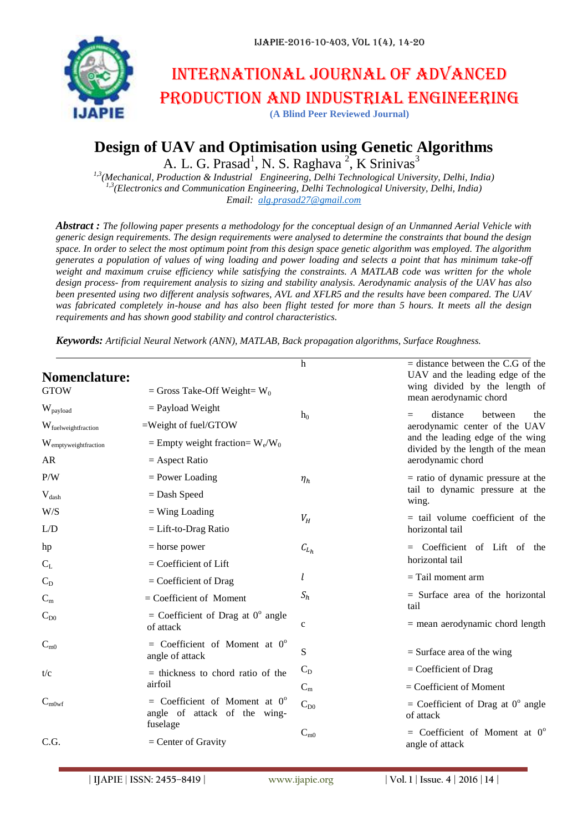

# International journal of advanced production and industrial engineering

**(A Blind Peer Reviewed Journal)**

## **Design of UAV and Optimisation using Genetic Algorithms**

A. L. G. Prasad<sup>1</sup>, N. S. Raghava<sup>2</sup>, K Srinivas<sup>3</sup>

*1,3(Mechanical, Production & Industrial Engineering, Delhi Technological University, Delhi, India) 1,3(Electronics and Communication Engineering, Delhi Technological University, Delhi, India) Email: [alg.prasad27@gmail.com](mailto:alg.prasad27@gmail.com)*

*Abstract : The following paper presents a methodology for the conceptual design of an Unmanned Aerial Vehicle with generic design requirements. The design requirements were analysed to determine the constraints that bound the design space. In order to select the most optimum point from this design space genetic algorithm was employed. The algorithm generates a population of values of wing loading and power loading and selects a point that has minimum take-off weight and maximum cruise efficiency while satisfying the constraints. A MATLAB code was written for the whole design process- from requirement analysis to sizing and stability analysis. Aerodynamic analysis of the UAV has also been presented using two different analysis softwares, AVL and XFLR5 and the results have been compared. The UAV was fabricated completely in-house and has also been flight tested for more than 5 hours. It meets all the design requirements and has shown good stability and control characteristics.*

*Keywords: Artificial Neural Network (ANN), MATLAB, Back propagation algorithms, Surface Roughness.*

| <b>Nomenclature:</b>             |                                                                                    | $\mathbf h$ | $=$ distance between the C.G of the<br>UAV and the leading edge of the |  |  |  |
|----------------------------------|------------------------------------------------------------------------------------|-------------|------------------------------------------------------------------------|--|--|--|
| <b>GTOW</b>                      | = Gross Take-Off Weight= $W_0$                                                     |             | wing divided by the length of<br>mean aerodynamic chord                |  |  |  |
| W <sub>payload</sub>             | $=$ Payload Weight                                                                 | $h_0$       | distance<br>between<br>the<br>$=$                                      |  |  |  |
| W fuelweightfraction             | $=$ Weight of fuel/GTOW                                                            |             | aerodynamic center of the UAV                                          |  |  |  |
| W <sub>emptyweightfraction</sub> | = Empty weight fraction= $W_e/W_0$                                                 |             | and the leading edge of the wing<br>divided by the length of the mean  |  |  |  |
| AR                               | $=$ Aspect Ratio                                                                   |             | aerodynamic chord                                                      |  |  |  |
| P/W                              | $=$ Power Loading                                                                  | $\eta_h$    | $=$ ratio of dynamic pressure at the                                   |  |  |  |
| $V_{\text{dash}}$                | $=$ Dash Speed                                                                     |             | tail to dynamic pressure at the<br>wing.                               |  |  |  |
| W/S                              | $=$ Wing Loading                                                                   | $V_H$       | $=$ tail volume coefficient of the                                     |  |  |  |
| L/D                              | $=$ Lift-to-Drag Ratio                                                             |             | horizontal tail                                                        |  |  |  |
| hp                               | $=$ horse power                                                                    | $C_{L_h}$   | = Coefficient of Lift of the                                           |  |  |  |
| $C_{L}$                          | $=$ Coefficient of Lift                                                            |             | horizontal tail                                                        |  |  |  |
| $C_D$                            | $=$ Coefficient of Drag                                                            | l           | $=$ Tail moment arm                                                    |  |  |  |
| $C_m$                            | $=$ Coefficient of Moment                                                          | $S_h$       | $=$ Surface area of the horizontal<br>tail                             |  |  |  |
| $C_{D0}$                         | = Coefficient of Drag at $0^{\circ}$ angle<br>of attack                            | $\mathbf c$ | $=$ mean aerodynamic chord length                                      |  |  |  |
| $C_{m0}$                         | = Coefficient of Moment at $0^{\circ}$<br>angle of attack                          | S           | $=$ Surface area of the wing                                           |  |  |  |
| t/c                              | $=$ thickness to chord ratio of the                                                | $C_D$       | $=$ Coefficient of Drag                                                |  |  |  |
|                                  | airfoil                                                                            | $C_m$       | $=$ Coefficient of Moment                                              |  |  |  |
| $C_{\rm m0wf}$                   | = Coefficient of Moment at $0^{\circ}$<br>angle of attack of the wing-<br>fuselage | $C_{D0}$    | = Coefficient of Drag at $0^{\circ}$ angle<br>of attack                |  |  |  |
| C.G.                             | $=$ Center of Gravity                                                              | $C_{m0}$    | $=$ Coefficient of Moment at $0^{\circ}$<br>angle of attack            |  |  |  |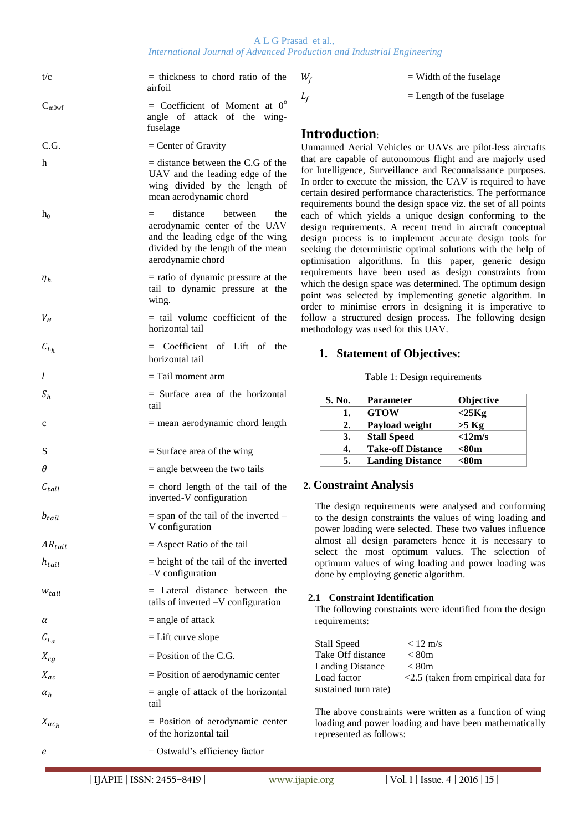A L G Prasad et al., *International Journal of Advanced Production and Industrial Engineering*

| t/c                        | $=$ thickness to chord ratio of the<br>airfoil                                                                                                                    |
|----------------------------|-------------------------------------------------------------------------------------------------------------------------------------------------------------------|
| $C_{m0wf}$                 | = Coefficient of Moment at $0^{\circ}$<br>angle of attack of the wing-<br>fuselage                                                                                |
| C.G.                       | $=$ Center of Gravity                                                                                                                                             |
| h                          | $=$ distance between the C.G of the<br>UAV and the leading edge of the<br>wing divided by the length of<br>mean aerodynamic chord                                 |
| $h_0$                      | distance between<br>the<br>$=$ $-$<br>aerodynamic center of the UAV<br>and the leading edge of the wing<br>divided by the length of the mean<br>aerodynamic chord |
| $\eta_h$                   | $=$ ratio of dynamic pressure at the<br>tail to dynamic pressure at the<br>wing.                                                                                  |
| $V_H$                      | $=$ tail volume coefficient of the<br>horizontal tail                                                                                                             |
| $\mathcal{C}_{L_h}$        | $=$ Coefficient of Lift of the<br>horizontal tail                                                                                                                 |
| l                          | $=$ Tail moment arm                                                                                                                                               |
| $S_h$                      | $=$ Surface area of the horizontal<br>tail                                                                                                                        |
| c                          | $=$ mean aerodynamic chord length                                                                                                                                 |
| S                          | $=$ Surface area of the wing                                                                                                                                      |
| θ                          | $=$ angle between the two tails                                                                                                                                   |
| $c_{tail}$                 | $=$ chord length of the tail of the<br>inverted-V configuration                                                                                                   |
| $b_{tail}$                 | $=$ span of the tail of the inverted $-$<br>V configuration                                                                                                       |
| $AR_{tail}$                | $=$ Aspect Ratio of the tail                                                                                                                                      |
| $h_{tail}$                 | $=$ height of the tail of the inverted<br>-V configuration                                                                                                        |
| $W_{tail}$                 | $=$ Lateral distance between the<br>tails of inverted $-V$ configuration                                                                                          |
| α                          | $=$ angle of attack                                                                                                                                               |
| $\mathcal{C}_{L_{\alpha}}$ | $=$ Lift curve slope                                                                                                                                              |
| $X_{cq}$                   | $=$ Position of the C.G.                                                                                                                                          |
| $X_{ac}$                   | $=$ Position of aerodynamic center                                                                                                                                |
| $\alpha_h$                 | $=$ angle of attack of the horizontal<br>tail                                                                                                                     |
| $X_{ac_h}$                 | = Position of aerodynamic center<br>of the horizontal tail                                                                                                        |
| e                          | $=$ Ostwald's efficiency factor                                                                                                                                   |

| $=$ Width of the fuselage |
|---------------------------|
|                           |

 $L_f$  = Length of the fuselage

## **Introduction**:

Unmanned Aerial Vehicles or UAVs are pilot-less aircrafts that are capable of autonomous flight and are majorly used for Intelligence, Surveillance and Reconnaissance purposes. In order to execute the mission, the UAV is required to have certain desired performance characteristics. The performance requirements bound the design space viz. the set of all points each of which yields a unique design conforming to the design requirements. A recent trend in aircraft conceptual design process is to implement accurate design tools for seeking the deterministic optimal solutions with the help of optimisation algorithms. In this paper, generic design requirements have been used as design constraints from which the design space was determined. The optimum design point was selected by implementing genetic algorithm. In order to minimise errors in designing it is imperative to follow a structured design process. The following design methodology was used for this UAV.

## **1. Statement of Objectives:**

|  | Table 1: Design requirements |
|--|------------------------------|
|  |                              |

| S. No. | <b>Parameter</b>         | <b>Objective</b> |
|--------|--------------------------|------------------|
| 1.     | <b>GTOW</b>              | $<$ 25 $Kg$      |
| 2.     | Payload weight           | $>5$ Kg          |
| 3.     | <b>Stall Speed</b>       | <12m/s           |
| 4.     | <b>Take-off Distance</b> | $80m$            |
| 5.     | <b>Landing Distance</b>  | <80m             |

## **2. Constraint Analysis**

The design requirements were analysed and conforming to the design constraints the values of wing loading and power loading were selected. These two values influence almost all design parameters hence it is necessary to select the most optimum values. The selection of optimum values of wing loading and power loading was done by employing genetic algorithm.

#### **2.1 Constraint Identification**

The following constraints were identified from the design requirements:

| Stall Speed             | $< 12 \text{ m/s}$                     |
|-------------------------|----------------------------------------|
| Take Off distance       | < 80m                                  |
| <b>Landing Distance</b> | < 80m                                  |
| Load factor             | $<$ 2.5 (taken from empirical data for |
| sustained turn rate)    |                                        |
|                         |                                        |

The above constraints were written as a function of wing loading and power loading and have been mathematically represented as follows: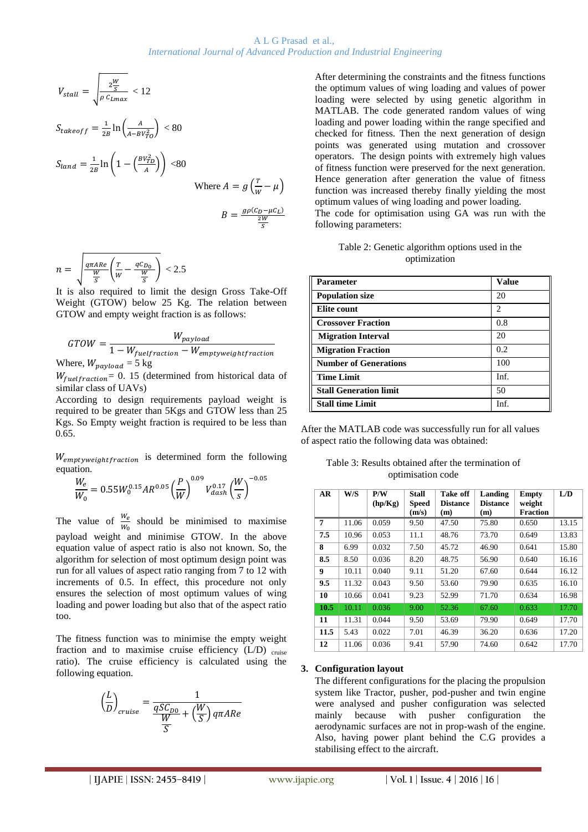#### A L G Prasad et al., *International Journal of Advanced Production and Industrial Engineering*

$$
V_{stall} = \sqrt{\frac{2\frac{W}{S}}{\rho c_{Lmax}}} < 12
$$
  

$$
S_{takeoff} = \frac{1}{2B} \ln \left( \frac{A}{A - BV_{TO}^2} \right) < 80
$$
  

$$
S_{land} = \frac{1}{2B} \ln \left( 1 - \left( \frac{BV_{TD}^2}{A} \right) \right) < 80
$$
  
Where  $A = g \left( \frac{T}{W} - \mu \right)$   

$$
B = \frac{g \rho (C_D - \mu C_L)}{\frac{2W}{S}}
$$

$$
n = \sqrt{\frac{q\pi A Re}{\frac{W}{S}}\left(\frac{T}{W} - \frac{qC_{D_0}}{\frac{W}{S}}\right)} < 2.5
$$

It is also required to limit the design Gross Take-Off Weight (GTOW) below 25 Kg. The relation between GTOW and empty weight fraction is as follows:

$$
GTOW = \frac{W_{payload}}{1 - W_{fuelfraction} - W_{emptyweightfraction}}
$$
  
Where,  $W_{payload} = 5$  kg

 $W_{\text{fuelfraction}} = 0$ . 15 (determined from historical data of similar class of UAVs)

According to design requirements payload weight is required to be greater than 5Kgs and GTOW less than 25 Kgs. So Empty weight fraction is required to be less than 0.65.

Wemptyweightfraction is determined form the following equation.

$$
\frac{W_e}{W_0} = 0.55 W_0^{0.15} AR^{0.05} \left(\frac{P}{W}\right)^{0.09} V_{dash}^{0.17} \left(\frac{W}{s}\right)^{-0.05}
$$

The value of  $\frac{w_e}{w_0}$  should be minimised to maximise payload weight and minimise GTOW. In the above equation value of aspect ratio is also not known. So, the algorithm for selection of most optimum design point was run for all values of aspect ratio ranging from 7 to 12 with increments of 0.5. In effect, this procedure not only ensures the selection of most optimum values of wing loading and power loading but also that of the aspect ratio too.

The fitness function was to minimise the empty weight fraction and to maximise cruise efficiency  $(L/D)$  cruise ratio). The cruise efficiency is calculated using the following equation.

$$
\left(\frac{L}{D}\right)_{cruise} = \frac{1}{\frac{qSC_{D0}}{W} + \left(\frac{W}{S}\right)q\pi A Re}
$$

After determining the constraints and the fitness functions the optimum values of wing loading and values of power loading were selected by using genetic algorithm in MATLAB. The code generated random values of wing loading and power loading within the range specified and checked for fitness. Then the next generation of design points was generated using mutation and crossover operators. The design points with extremely high values of fitness function were preserved for the next generation. Hence generation after generation the value of fitness function was increased thereby finally yielding the most optimum values of wing loading and power loading.

The code for optimisation using GA was run with the following parameters:

| Table 2: Genetic algorithm options used in the |
|------------------------------------------------|
| optimization                                   |

| <b>Parameter</b>              | <b>Value</b> |
|-------------------------------|--------------|
| <b>Population size</b>        | 20           |
| Elite count                   | 2            |
| <b>Crossover Fraction</b>     | 0.8          |
| <b>Migration Interval</b>     | 20           |
| <b>Migration Fraction</b>     | 0.2          |
| <b>Number of Generations</b>  | 100          |
| <b>Time Limit</b>             | Inf.         |
| <b>Stall Generation limit</b> | 50           |
| <b>Stall time Limit</b>       | Inf.         |

After the MATLAB code was successfully run for all values of aspect ratio the following data was obtained:

| Table 3: Results obtained after the termination of |
|----------------------------------------------------|
| optimisation code                                  |

| AR   | W/S   | P/W<br>(hp/Kg) | Stall<br><b>Speed</b><br>(m/s) | Take off<br><b>Distance</b><br>(m) | Landing<br><b>Distance</b><br>(m) | <b>Empty</b><br>weight<br><b>Fraction</b> | L/D   |
|------|-------|----------------|--------------------------------|------------------------------------|-----------------------------------|-------------------------------------------|-------|
| 7    | 11.06 | 0.059          | 9.50                           | 47.50                              | 75.80                             | 0.650                                     | 13.15 |
| 7.5  | 10.96 | 0.053          | 11.1                           | 48.76                              | 73.70                             | 0.649                                     | 13.83 |
| 8    | 6.99  | 0.032          | 7.50                           | 45.72                              | 46.90                             | 0.641                                     | 15.80 |
| 8.5  | 8.50  | 0.036          | 8.20                           | 48.75                              | 56.90                             | 0.640                                     | 16.16 |
| 9    | 10.11 | 0.040          | 9.11                           | 51.20                              | 67.60                             | 0.644                                     | 16.12 |
| 9.5  | 11.32 | 0.043          | 9.50                           | 53.60                              | 79.90                             | 0.635                                     | 16.10 |
| 10   | 10.66 | 0.041          | 9.23                           | 52.99                              | 71.70                             | 0.634                                     | 16.98 |
| 10.5 | 10.11 | 0.036          | 9.00                           | 52.36                              | 67.60                             | 0.633                                     | 17.70 |
| 11   | 11.31 | 0.044          | 9.50                           | 53.69                              | 79.90                             | 0.649                                     | 17.70 |
| 11.5 | 5.43  | 0.022          | 7.01                           | 46.39                              | 36.20                             | 0.636                                     | 17.20 |
| 12   | 11.06 | 0.036          | 9.41                           | 57.90                              | 74.60                             | 0.642                                     | 17.70 |

#### **3. Configuration layout**

The different configurations for the placing the propulsion system like Tractor, pusher, pod-pusher and twin engine were analysed and pusher configuration was selected mainly because with pusher configuration the aerodynamic surfaces are not in prop-wash of the engine. Also, having power plant behind the C.G provides a stabilising effect to the aircraft.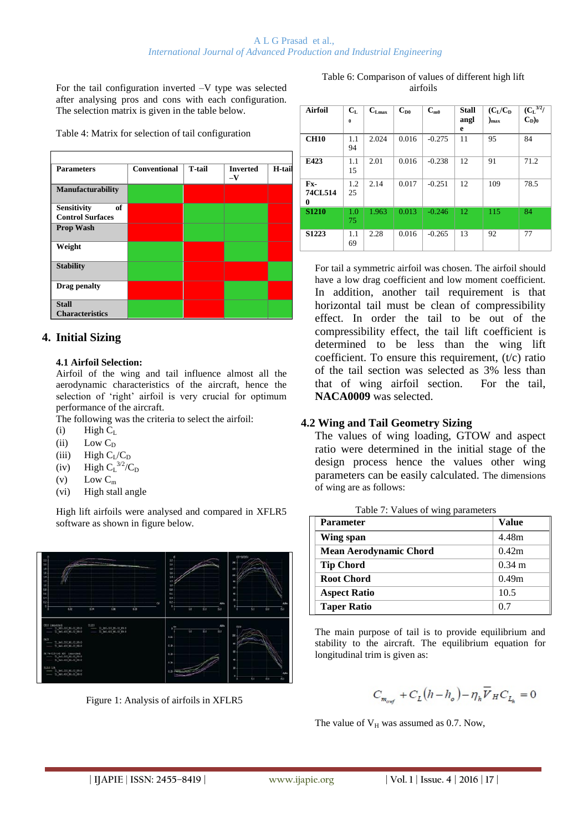For the tail configuration inverted –V type was selected after analysing pros and cons with each configuration. The selection matrix is given in the table below.

Table 4: Matrix for selection of tail configuration

| <b>Parameters</b>                                   | <b>Conventional</b> | <b>T-tail</b> | <b>Inverted</b><br>$-\mathbf{V}$ | H-tail |
|-----------------------------------------------------|---------------------|---------------|----------------------------------|--------|
| <b>Manufacturability</b>                            |                     |               |                                  |        |
| of<br><b>Sensitivity</b><br><b>Control Surfaces</b> |                     |               |                                  |        |
| <b>Prop Wash</b>                                    |                     |               |                                  |        |
| Weight                                              |                     |               |                                  |        |
| <b>Stability</b>                                    |                     |               |                                  |        |
| Drag penalty                                        |                     |               |                                  |        |
| <b>Stall</b><br><b>Characteristics</b>              |                     |               |                                  |        |

## **4. Initial Sizing**

## **4.1 Airfoil Selection:**

Airfoil of the wing and tail influence almost all the aerodynamic characteristics of the aircraft, hence the selection of 'right' airfoil is very crucial for optimum performance of the aircraft.

The following was the criteria to select the airfoil:

- $(i)$  High  $C_L$
- (ii) Low  $C_D$
- (iii) High  $C_I/C_D$
- (iv) High  $C_{L}^{3/2}/C_{D}$
- (v) Low  $C_m$
- (vi) High stall angle

High lift airfoils were analysed and compared in XFLR5 software as shown in figure below.



Figure 1: Analysis of airfoils in XFLR5

| Table 6: Comparison of values of different high lift |
|------------------------------------------------------|
| airfoils                                             |

| <b>Airfoil</b>      | $C_{L}$   | $\mathbf{C}_{\text{Lmax}}$ | $C_{D0}$ | $C_{m0}$ | <b>Stall</b> | $(C_I/C_D)$     | $\overline{({C_L}^{3/2}/}$ |
|---------------------|-----------|----------------------------|----------|----------|--------------|-----------------|----------------------------|
|                     | $\bf{0}$  |                            |          |          | angl<br>e    | $_{\text{max}}$ | $C_{D}$ <sub>0</sub>       |
| <b>CH10</b>         | 1.1<br>94 | 2.024                      | 0.016    | $-0.275$ | 11           | 95              | 84                         |
| E423                | 1.1<br>15 | 2.01                       | 0.016    | $-0.238$ | 12           | 91              | 71.2                       |
| Fx-<br>74CL514<br>0 | 1.2<br>25 | 2.14                       | 0.017    | $-0.251$ | 12           | 109             | 78.5                       |
| <b>S1210</b>        | 1.0<br>75 | 1.963                      | 0.013    | $-0.246$ | 12           | 115             | 84                         |
| S1223               | 1.1<br>69 | 2.28                       | 0.016    | $-0.265$ | 13           | 92              | 77                         |

For tail a symmetric airfoil was chosen. The airfoil should have a low drag coefficient and low moment coefficient. In addition, another tail requirement is that horizontal tail must be clean of compressibility effect. In order the tail to be out of the compressibility effect, the tail lift coefficient is determined to be less than the wing lift coefficient. To ensure this requirement, (t/c) ratio of the tail section was selected as 3% less than that of wing airfoil section. For the tail, **NACA0009** was selected.

## **4.2 Wing and Tail Geometry Sizing**

The values of wing loading, GTOW and aspect ratio were determined in the initial stage of the design process hence the values other wing parameters can be easily calculated. The dimensions of wing are as follows:

| ັ້                            |                  |
|-------------------------------|------------------|
| <b>Parameter</b>              | <b>Value</b>     |
| Wing span                     | 4.48m            |
| <b>Mean Aerodynamic Chord</b> | 0.42m            |
| <b>Tip Chord</b>              | $0.34 \text{ m}$ |
| <b>Root Chord</b>             | 0.49m            |
| <b>Aspect Ratio</b>           | 10.5             |
| <b>Taper Ratio</b>            | 0.7              |

Table 7: Values of wing parameters

The main purpose of tail is to provide equilibrium and stability to the aircraft. The equilibrium equation for longitudinal trim is given as:

$$
C_{\mathit{m_{\mathit{owf}}}}+C_{L}\big(h-h_{\mathit{o}}\big)-\eta_{h}\overline{\mathcal{V}}_{H}C_{L_{h}}=0
$$

The value of  $V_H$  was assumed as 0.7. Now,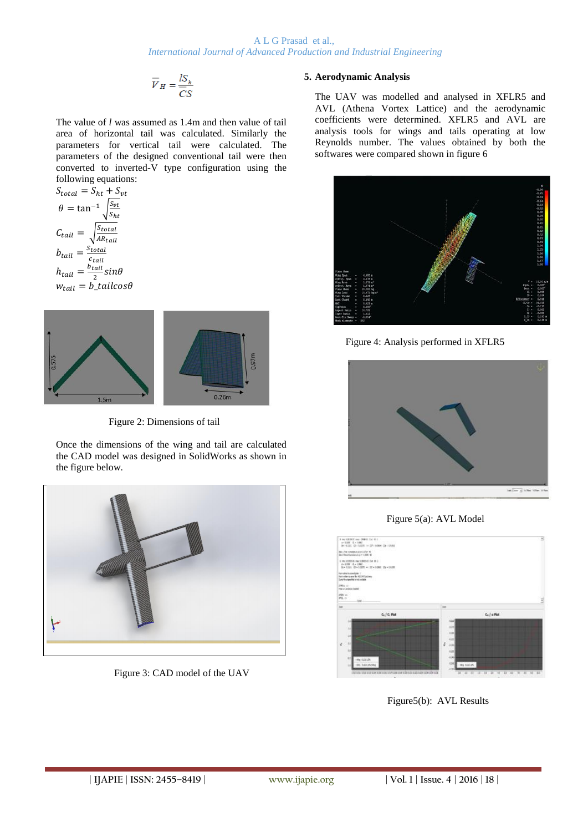$$
\overline{V}_H = \frac{lS_h}{\overline{C}S}
$$

The value of *l* was assumed as 1.4m and then value of tail area of horizontal tail was calculated. Similarly the parameters for vertical tail were calculated. The parameters of the designed conventional tail were then converted to inverted-V type configuration using the following equations:

$$
S_{total} = S_{ht} + S_{vt}
$$

$$
\theta = \tan^{-1} \sqrt{\frac{S_{vt}}{S_{ht}}}
$$

$$
C_{tail} = \sqrt{\frac{S_{total}}{AR_{tail}}}
$$

$$
b_{tail} = \frac{S_{total}}{c_{tail}}
$$

$$
h_{tail} = \frac{b_{tail}}{2} \sin \theta
$$

$$
w_{tail} = b_{tail} \cos \theta
$$



Figure 2: Dimensions of tail

Once the dimensions of the wing and tail are calculated the CAD model was designed in SolidWorks as shown in the figure below.



Figure 3: CAD model of the UAV

## **5. Aerodynamic Analysis**

The UAV was modelled and analysed in XFLR5 and AVL (Athena Vortex Lattice) and the aerodynamic coefficients were determined. XFLR5 and AVL are analysis tools for wings and tails operating at low Reynolds number. The values obtained by both the softwares were compared shown in figure 6



Figure 4: Analysis performed in XFLR5



Figure 5(a): AVL Model



Figure5(b): AVL Results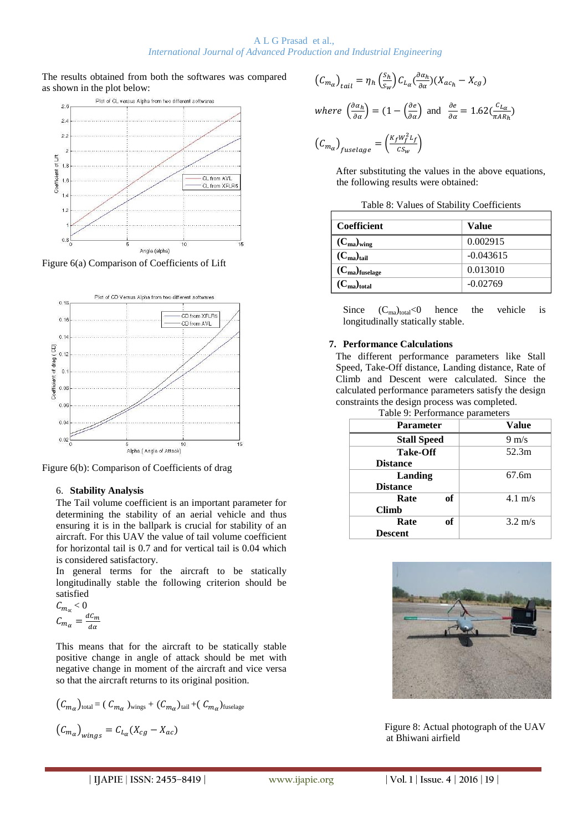The results obtained from both the softwares was compared as shown in the plot below:



Figure 6(a) Comparison of Coefficients of Lift



Figure 6(b): Comparison of Coefficients of drag

## 6. **Stability Analysis**

The Tail volume coefficient is an important parameter for determining the stability of an aerial vehicle and thus ensuring it is in the ballpark is crucial for stability of an aircraft. For this UAV the value of tail volume coefficient for horizontal tail is 0.7 and for vertical tail is 0.04 which is considered satisfactory.

In general terms for the aircraft to be statically longitudinally stable the following criterion should be satisfied

$$
C_{m_{\alpha}} < 0
$$
  

$$
C_{m_{\alpha}} = \frac{dC_m}{d\alpha}
$$

This means that for the aircraft to be statically stable positive change in angle of attack should be met with negative change in moment of the aircraft and vice versa so that the aircraft returns to its original position.

$$
(C_{m_{\alpha}})_{\text{total}} = (C_{m_{\alpha}})_{\text{wings}} + (C_{m_{\alpha}})_{\text{tail}} + (C_{m_{\alpha}})_{\text{fuselage}}
$$

$$
(C_{m_{\alpha}})_{\text{wings}} = C_{L_{\alpha}}(X_{cg} - X_{ac})
$$

$$
(C_{m_{\alpha}})_{tail} = \eta_h \left(\frac{s_h}{s_w}\right) C_{L_{\alpha}} \left(\frac{\partial \alpha_h}{\partial \alpha}\right) (X_{ac_h} - X_{cg})
$$
  
where  $\left(\frac{\partial \alpha_h}{\partial \alpha}\right) = (1 - \left(\frac{\partial e}{\partial \alpha}\right)$  and  $\frac{\partial e}{\partial \alpha} = 1.62 \left(\frac{c_{L_{\alpha}}}{\pi AR_h}\right)$   
 $(C_{m_{\alpha}})_{fuselage} = \left(\frac{K_f W_f^2 L_f}{c_{S_w}}\right)$ 

After substituting the values in the above equations, the following results were obtained:

| <b>Coefficient</b>    | <b>Value</b> |
|-----------------------|--------------|
| $(C_{ma})_{wing}$     | 0.002915     |
| $(C_{ma})_{tail}$     | $-0.043615$  |
| $(C_{ma})_{fuselage}$ | 0.013010     |
| $(C_{ma})_{total}$    | $-0.02769$   |

Since  $(C_{\text{ma}})_{\text{total}} < 0$  hence the vehicle is longitudinally statically stable.

#### **7. Performance Calculations**

The different performance parameters like Stall Speed, Take-Off distance, Landing distance, Rate of Climb and Descent were calculated. Since the calculated performance parameters satisfy the design constraints the design process was completed.

| --                              |  |
|---------------------------------|--|
| Table 9: Performance parameters |  |

| <b>Parameter</b>   | л.<br>Value     |                   |
|--------------------|-----------------|-------------------|
| <b>Stall Speed</b> | $9 \text{ m/s}$ |                   |
| <b>Take-Off</b>    | 52.3m           |                   |
| <b>Distance</b>    |                 |                   |
| Landing            | 67.6m           |                   |
| <b>Distance</b>    |                 |                   |
| Rate               | of              | $4.1 \text{ m/s}$ |
| <b>Climb</b>       |                 |                   |
| Rate               | of              | $3.2 \text{ m/s}$ |
| <b>Descent</b>     |                 |                   |



Figure 8: Actual photograph of the UAV at Bhiwani airfield